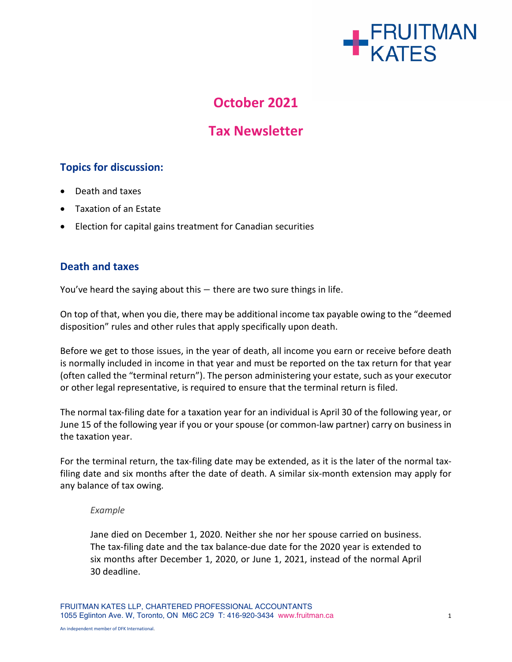

# **October 2021**

# **Tax Newsletter**

# **Topics for discussion:**

- Death and taxes
- Taxation of an Estate
- Election for capital gains treatment for Canadian securities

### **Death and taxes**

You've heard the saying about this – there are two sure things in life.

On top of that, when you die, there may be additional income tax payable owing to the "deemed disposition" rules and other rules that apply specifically upon death.

Before we get to those issues, in the year of death, all income you earn or receive before death is normally included in income in that year and must be reported on the tax return for that year (often called the "terminal return"). The person administering your estate, such as your executor or other legal representative, is required to ensure that the terminal return is filed.

The normal tax-filing date for a taxation year for an individual is April 30 of the following year, or June 15 of the following year if you or your spouse (or common-law partner) carry on business in the taxation year.

For the terminal return, the tax-filing date may be extended, as it is the later of the normal taxfiling date and six months after the date of death. A similar six-month extension may apply for any balance of tax owing.

#### *Example*

Jane died on December 1, 2020. Neither she nor her spouse carried on business. The tax-filing date and the tax balance-due date for the 2020 year is extended to six months after December 1, 2020, or June 1, 2021, instead of the normal April 30 deadline.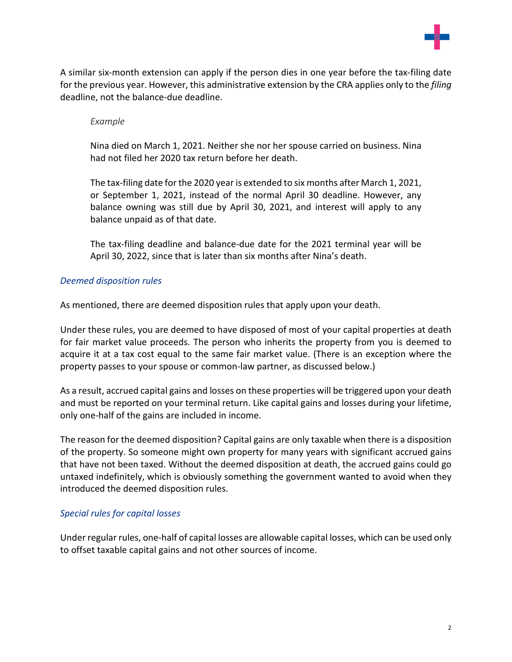

A similar six-month extension can apply if the person dies in one year before the tax-filing date for the previous year. However, this administrative extension by the CRA applies only to the *filing* deadline, not the balance-due deadline.

#### *Example*

Nina died on March 1, 2021. Neither she nor her spouse carried on business. Nina had not filed her 2020 tax return before her death.

The tax-filing date for the 2020 year is extended to six months after March 1, 2021, or September 1, 2021, instead of the normal April 30 deadline. However, any balance owning was still due by April 30, 2021, and interest will apply to any balance unpaid as of that date.

The tax-filing deadline and balance-due date for the 2021 terminal year will be April 30, 2022, since that is later than six months after Nina's death.

#### *Deemed disposition rules*

As mentioned, there are deemed disposition rules that apply upon your death.

Under these rules, you are deemed to have disposed of most of your capital properties at death for fair market value proceeds. The person who inherits the property from you is deemed to acquire it at a tax cost equal to the same fair market value. (There is an exception where the property passes to your spouse or common-law partner, as discussed below.)

As a result, accrued capital gains and losses on these properties will be triggered upon your death and must be reported on your terminal return. Like capital gains and losses during your lifetime, only one-half of the gains are included in income.

The reason for the deemed disposition? Capital gains are only taxable when there is a disposition of the property. So someone might own property for many years with significant accrued gains that have not been taxed. Without the deemed disposition at death, the accrued gains could go untaxed indefinitely, which is obviously something the government wanted to avoid when they introduced the deemed disposition rules.

#### *Special rules for capital losses*

Under regular rules, one-half of capital losses are allowable capital losses, which can be used only to offset taxable capital gains and not other sources of income.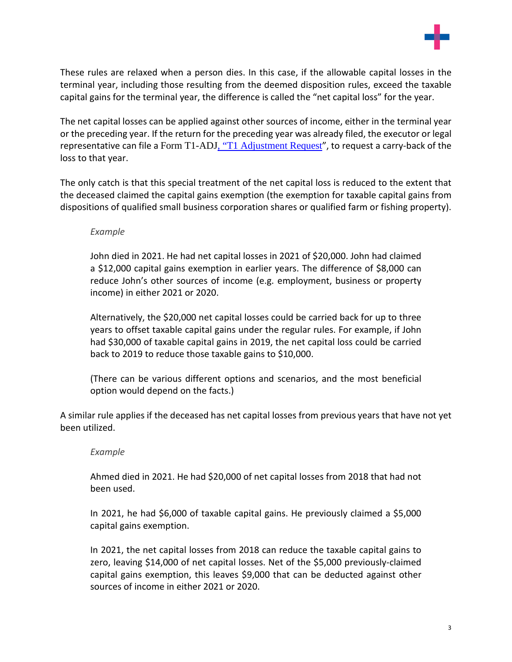

These rules are relaxed when a person dies. In this case, if the allowable capital losses in the terminal year, including those resulting from the deemed disposition rules, exceed the taxable capital gains for the terminal year, the difference is called the "net capital loss" for the year.

The net capital losses can be applied against other sources of income, either in the terminal year or the preceding year. If the return for the preceding year was already filed, the executor or legal representative can file a Form T1-ADJ, "T1 [Adjustment](https://www.canada.ca/en/revenue-agency/services/forms-publications/forms/t1-adj.html) Request", to request a carry-back of the loss to that year.

The only catch is that this special treatment of the net capital loss is reduced to the extent that the deceased claimed the capital gains exemption (the exemption for taxable capital gains from dispositions of qualified small business corporation shares or qualified farm or fishing property).

#### *Example*

John died in 2021. He had net capital losses in 2021 of \$20,000. John had claimed a \$12,000 capital gains exemption in earlier years. The difference of \$8,000 can reduce John's other sources of income (e.g. employment, business or property income) in either 2021 or 2020.

Alternatively, the \$20,000 net capital losses could be carried back for up to three years to offset taxable capital gains under the regular rules. For example, if John had \$30,000 of taxable capital gains in 2019, the net capital loss could be carried back to 2019 to reduce those taxable gains to \$10,000.

(There can be various different options and scenarios, and the most beneficial option would depend on the facts.)

A similar rule applies if the deceased has net capital losses from previous years that have not yet been utilized.

#### *Example*

Ahmed died in 2021. He had \$20,000 of net capital losses from 2018 that had not been used.

In 2021, he had \$6,000 of taxable capital gains. He previously claimed a \$5,000 capital gains exemption.

In 2021, the net capital losses from 2018 can reduce the taxable capital gains to zero, leaving \$14,000 of net capital losses. Net of the \$5,000 previously-claimed capital gains exemption, this leaves \$9,000 that can be deducted against other sources of income in either 2021 or 2020.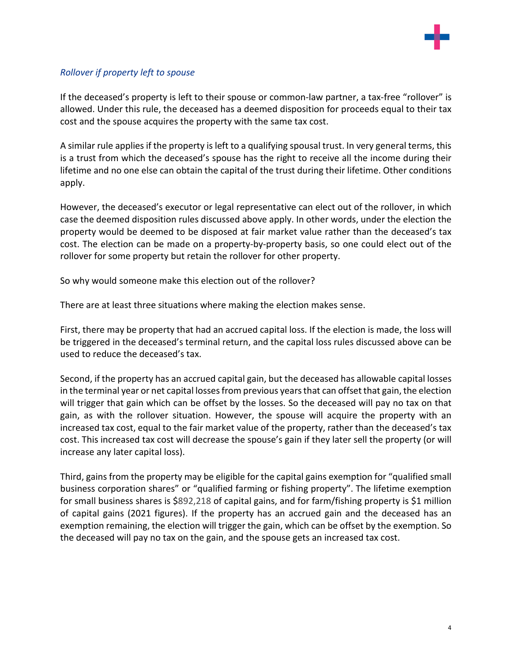

### *Rollover if property left to spouse*

If the deceased's property is left to their spouse or common-law partner, a tax-free "rollover" is allowed. Under this rule, the deceased has a deemed disposition for proceeds equal to their tax cost and the spouse acquires the property with the same tax cost.

A similar rule applies if the property is left to a qualifying spousal trust. In very general terms, this is a trust from which the deceased's spouse has the right to receive all the income during their lifetime and no one else can obtain the capital of the trust during their lifetime. Other conditions apply.

However, the deceased's executor or legal representative can elect out of the rollover, in which case the deemed disposition rules discussed above apply. In other words, under the election the property would be deemed to be disposed at fair market value rather than the deceased's tax cost. The election can be made on a property-by-property basis, so one could elect out of the rollover for some property but retain the rollover for other property.

So why would someone make this election out of the rollover?

There are at least three situations where making the election makes sense.

First, there may be property that had an accrued capital loss. If the election is made, the loss will be triggered in the deceased's terminal return, and the capital loss rules discussed above can be used to reduce the deceased's tax.

Second, if the property has an accrued capital gain, but the deceased has allowable capital losses in the terminal year or net capital losses from previous years that can offset that gain, the election will trigger that gain which can be offset by the losses. So the deceased will pay no tax on that gain, as with the rollover situation. However, the spouse will acquire the property with an increased tax cost, equal to the fair market value of the property, rather than the deceased's tax cost. This increased tax cost will decrease the spouse's gain if they later sell the property (or will increase any later capital loss).

Third, gains from the property may be eligible for the capital gains exemption for "qualified small business corporation shares" or "qualified farming or fishing property". The lifetime exemption for small business shares is \$892,218 of capital gains, and for farm/fishing property is \$1 million of capital gains (2021 figures). If the property has an accrued gain and the deceased has an exemption remaining, the election will trigger the gain, which can be offset by the exemption. So the deceased will pay no tax on the gain, and the spouse gets an increased tax cost.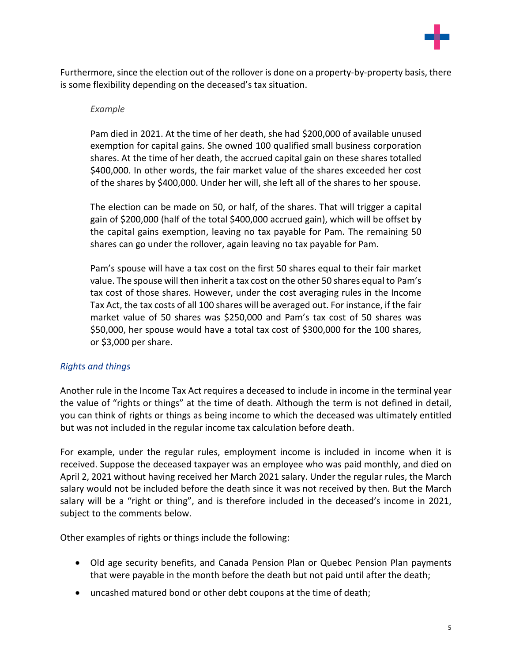

Furthermore, since the election out of the rollover is done on a property-by-property basis, there is some flexibility depending on the deceased's tax situation.

#### *Example*

Pam died in 2021. At the time of her death, she had \$200,000 of available unused exemption for capital gains. She owned 100 qualified small business corporation shares. At the time of her death, the accrued capital gain on these shares totalled \$400,000. In other words, the fair market value of the shares exceeded her cost of the shares by \$400,000. Under her will, she left all of the shares to her spouse.

The election can be made on 50, or half, of the shares. That will trigger a capital gain of \$200,000 (half of the total \$400,000 accrued gain), which will be offset by the capital gains exemption, leaving no tax payable for Pam. The remaining 50 shares can go under the rollover, again leaving no tax payable for Pam.

Pam's spouse will have a tax cost on the first 50 shares equal to their fair market value. The spouse will then inherit a tax cost on the other 50 shares equal to Pam's tax cost of those shares. However, under the cost averaging rules in the Income Tax Act, the tax costs of all 100 shares will be averaged out. For instance, if the fair market value of 50 shares was \$250,000 and Pam's tax cost of 50 shares was \$50,000, her spouse would have a total tax cost of \$300,000 for the 100 shares, or \$3,000 per share.

#### *Rights and things*

Another rule in the Income Tax Act requires a deceased to include in income in the terminal year the value of "rights or things" at the time of death. Although the term is not defined in detail, you can think of rights or things as being income to which the deceased was ultimately entitled but was not included in the regular income tax calculation before death.

For example, under the regular rules, employment income is included in income when it is received. Suppose the deceased taxpayer was an employee who was paid monthly, and died on April 2, 2021 without having received her March 2021 salary. Under the regular rules, the March salary would not be included before the death since it was not received by then. But the March salary will be a "right or thing", and is therefore included in the deceased's income in 2021, subject to the comments below.

Other examples of rights or things include the following:

- Old age security benefits, and Canada Pension Plan or Quebec Pension Plan payments that were payable in the month before the death but not paid until after the death;
- uncashed matured bond or other debt coupons at the time of death;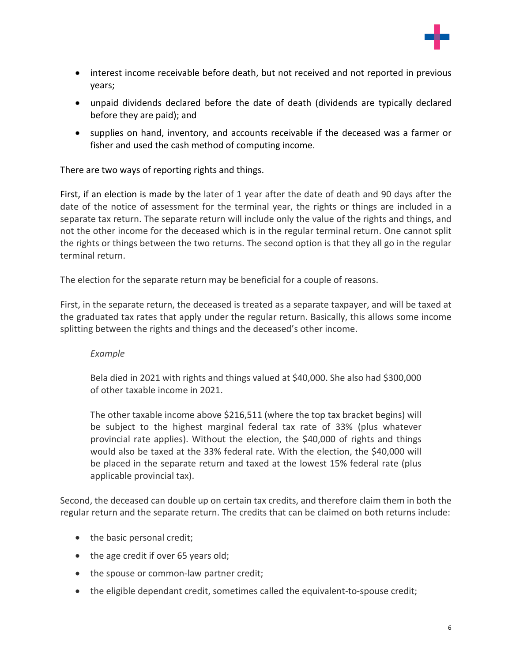

- interest income receivable before death, but not received and not reported in previous years;
- unpaid dividends declared before the date of death (dividends are typically declared before they are paid); and
- supplies on hand, inventory, and accounts receivable if the deceased was a farmer or fisher and used the cash method of computing income.

There are two ways of reporting rights and things.

First, if an election is made by the later of 1 year after the date of death and 90 days after the date of the notice of assessment for the terminal year, the rights or things are included in a separate tax return. The separate return will include only the value of the rights and things, and not the other income for the deceased which is in the regular terminal return. One cannot split the rights or things between the two returns. The second option is that they all go in the regular terminal return.

The election for the separate return may be beneficial for a couple of reasons.

First, in the separate return, the deceased is treated as a separate taxpayer, and will be taxed at the graduated tax rates that apply under the regular return. Basically, this allows some income splitting between the rights and things and the deceased's other income.

#### *Example*

Bela died in 2021 with rights and things valued at \$40,000. She also had \$300,000 of other taxable income in 2021.

The other taxable income above \$216,511 (where the top tax bracket begins) will be subject to the highest marginal federal tax rate of 33% (plus whatever provincial rate applies). Without the election, the \$40,000 of rights and things would also be taxed at the 33% federal rate. With the election, the \$40,000 will be placed in the separate return and taxed at the lowest 15% federal rate (plus applicable provincial tax).

Second, the deceased can double up on certain tax credits, and therefore claim them in both the regular return and the separate return. The credits that can be claimed on both returns include:

- the basic personal credit;
- the age credit if over 65 years old;
- the spouse or common-law partner credit;
- the eligible dependant credit, sometimes called the equivalent-to-spouse credit;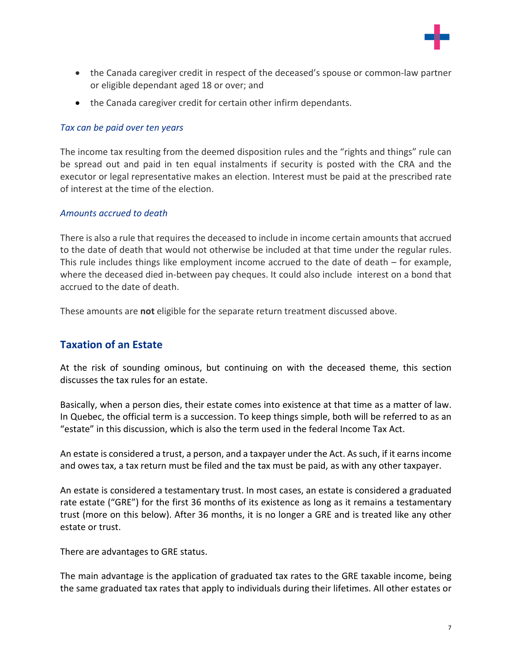

- the Canada caregiver credit in respect of the deceased's spouse or common-law partner or eligible dependant aged 18 or over; and
- the Canada caregiver credit for certain other infirm dependants.

#### *Tax can be paid over ten years*

The income tax resulting from the deemed disposition rules and the "rights and things" rule can be spread out and paid in ten equal instalments if security is posted with the CRA and the executor or legal representative makes an election. Interest must be paid at the prescribed rate of interest at the time of the election.

#### *Amounts accrued to death*

There is also a rule that requires the deceased to include in income certain amounts that accrued to the date of death that would not otherwise be included at that time under the regular rules. This rule includes things like employment income accrued to the date of death – for example, where the deceased died in-between pay cheques. It could also include interest on a bond that accrued to the date of death.

These amounts are **not** eligible for the separate return treatment discussed above.

# **Taxation of an Estate**

At the risk of sounding ominous, but continuing on with the deceased theme, this section discusses the tax rules for an estate.

Basically, when a person dies, their estate comes into existence at that time as a matter of law. In Quebec, the official term is a succession. To keep things simple, both will be referred to as an "estate" in this discussion, which is also the term used in the federal Income Tax Act.

An estate is considered a trust, a person, and a taxpayer under the Act. Assuch, if it earnsincome and owes tax, a tax return must be filed and the tax must be paid, as with any other taxpayer.

An estate is considered a testamentary trust. In most cases, an estate is considered a graduated rate estate ("GRE") for the first 36 months of its existence as long as it remains a testamentary trust (more on this below). After 36 months, it is no longer a GRE and is treated like any other estate or trust.

There are advantages to GRE status.

The main advantage is the application of graduated tax rates to the GRE taxable income, being the same graduated tax rates that apply to individuals during their lifetimes. All other estates or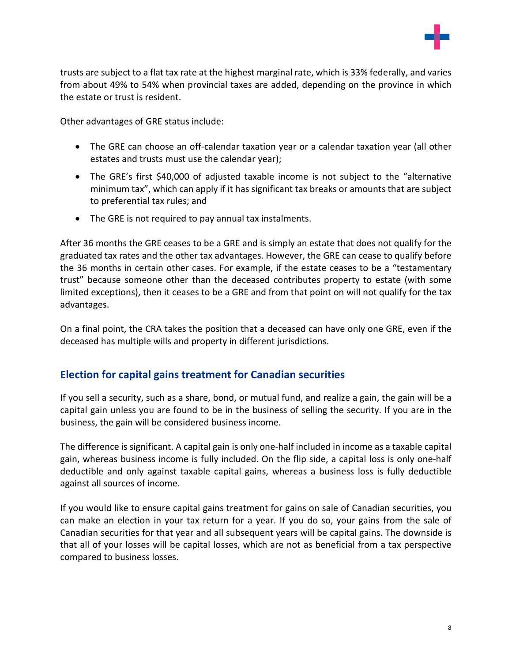

trusts are subject to a flat tax rate at the highest marginal rate, which is 33% federally, and varies from about 49% to 54% when provincial taxes are added, depending on the province in which the estate or trust is resident.

Other advantages of GRE status include:

- The GRE can choose an off-calendar taxation year or a calendar taxation year (all other estates and trusts must use the calendar year);
- The GRE's first \$40,000 of adjusted taxable income is not subject to the "alternative minimum tax", which can apply if it has significant tax breaks or amounts that are subject to preferential tax rules; and
- The GRE is not required to pay annual tax instalments.

After 36 months the GRE ceases to be a GRE and is simply an estate that does not qualify for the graduated tax rates and the other tax advantages. However, the GRE can cease to qualify before the 36 months in certain other cases. For example, if the estate ceases to be a "testamentary trust" because someone other than the deceased contributes property to estate (with some limited exceptions), then it ceases to be a GRE and from that point on will not qualify for the tax advantages.

On a final point, the CRA takes the position that a deceased can have only one GRE, even if the deceased has multiple wills and property in different jurisdictions.

# **Election for capital gains treatment for Canadian securities**

If you sell a security, such as a share, bond, or mutual fund, and realize a gain, the gain will be a capital gain unless you are found to be in the business of selling the security. If you are in the business, the gain will be considered business income.

The difference is significant. A capital gain is only one-half included in income as a taxable capital gain, whereas business income is fully included. On the flip side, a capital loss is only one-half deductible and only against taxable capital gains, whereas a business loss is fully deductible against all sources of income.

If you would like to ensure capital gains treatment for gains on sale of Canadian securities, you can make an election in your tax return for a year. If you do so, your gains from the sale of Canadian securities for that year and all subsequent years will be capital gains. The downside is that all of your losses will be capital losses, which are not as beneficial from a tax perspective compared to business losses.